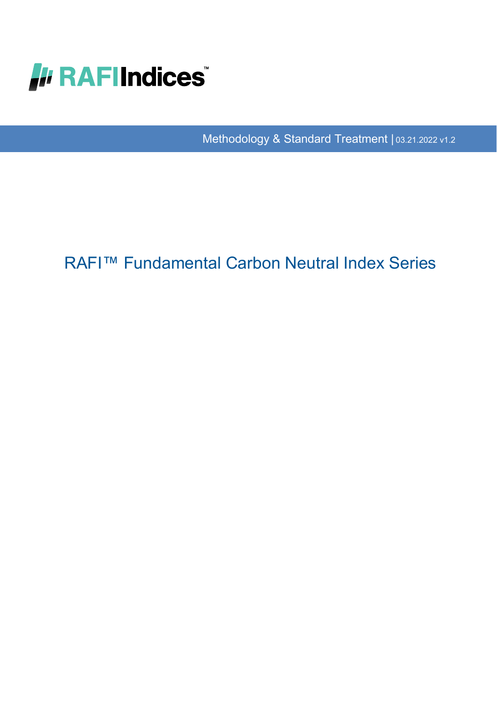

Methodology & Standard Treatment | 03.21.2022 v1.2

# RAFI™ Fundamental Carbon Neutral Index Series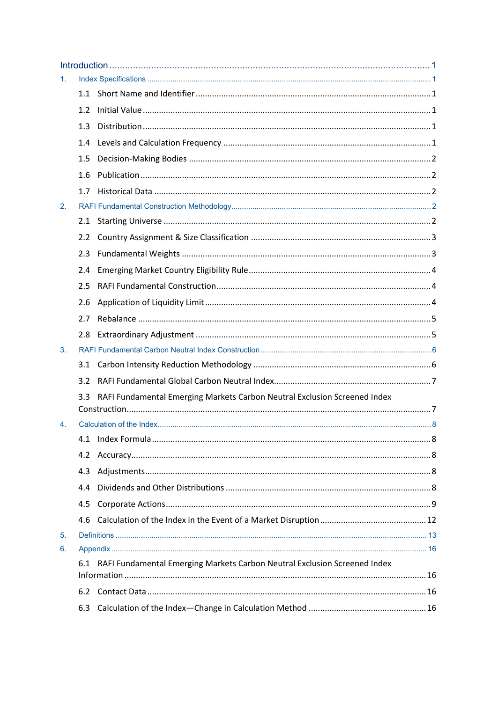| 1. |     |                                                                           |  |
|----|-----|---------------------------------------------------------------------------|--|
|    |     |                                                                           |  |
|    | 1.2 |                                                                           |  |
|    | 1.3 |                                                                           |  |
|    | 1.4 |                                                                           |  |
|    | 1.5 |                                                                           |  |
|    | 1.6 |                                                                           |  |
|    | 1.7 |                                                                           |  |
| 2. |     |                                                                           |  |
|    | 2.1 |                                                                           |  |
|    | 2.2 |                                                                           |  |
|    | 2.3 |                                                                           |  |
|    | 2.4 |                                                                           |  |
|    | 2.5 |                                                                           |  |
|    | 2.6 |                                                                           |  |
|    | 2.7 |                                                                           |  |
|    | 2.8 |                                                                           |  |
| 3. |     |                                                                           |  |
|    | 3.1 |                                                                           |  |
|    | 3.2 |                                                                           |  |
|    | 3.3 | RAFI Fundamental Emerging Markets Carbon Neutral Exclusion Screened Index |  |
| 4. |     |                                                                           |  |
|    | 4.1 |                                                                           |  |
|    | 4.2 |                                                                           |  |
|    | 4.3 |                                                                           |  |
|    | 4.4 |                                                                           |  |
|    | 4.5 |                                                                           |  |
|    | 4.6 |                                                                           |  |
| 5. |     |                                                                           |  |
| 6. |     |                                                                           |  |
|    | 6.1 | RAFI Fundamental Emerging Markets Carbon Neutral Exclusion Screened Index |  |
|    |     |                                                                           |  |
|    | 6.2 |                                                                           |  |
|    | 6.3 |                                                                           |  |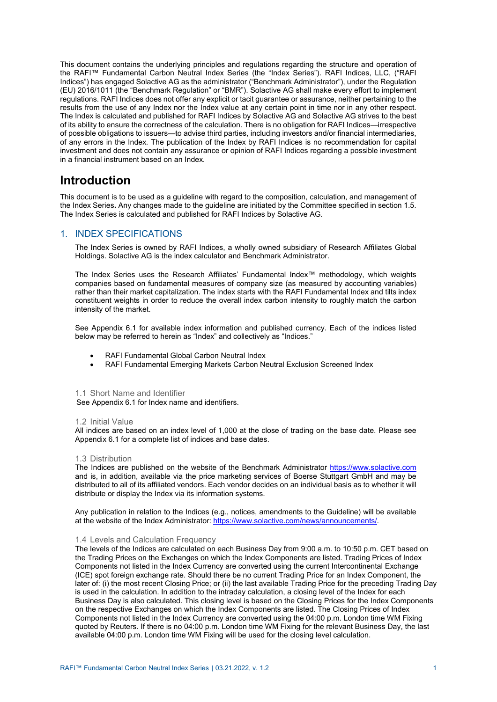This document contains the underlying principles and regulations regarding the structure and operation of the RAFI™ Fundamental Carbon Neutral Index Series (the "Index Series"). RAFI Indices, LLC, ("RAFI Indices") has engaged Solactive AG as the administrator ("Benchmark Administrator"), under the Regulation (EU) 2016/1011 (the "Benchmark Regulation" or "BMR"). Solactive AG shall make every effort to implement regulations. RAFI Indices does not offer any explicit or tacit guarantee or assurance, neither pertaining to the results from the use of any Index nor the Index value at any certain point in time nor in any other respect. The Index is calculated and published for RAFI Indices by Solactive AG and Solactive AG strives to the best of its ability to ensure the correctness of the calculation. There is no obligation for RAFI Indices—irrespective of possible obligations to issuers—to advise third parties, including investors and/or financial intermediaries, of any errors in the Index. The publication of the Index by RAFI Indices is no recommendation for capital investment and does not contain any assurance or opinion of RAFI Indices regarding a possible investment in a financial instrument based on an Index.

## <span id="page-2-0"></span>**Introduction**

This document is to be used as a guideline with regard to the composition, calculation, and management of the Index Series**.** Any changes made to the guideline are initiated by the Committee specified in section 1.5. The Index Series is calculated and published for RAFI Indices by Solactive AG.

## <span id="page-2-1"></span>1. INDEX SPECIFICATIONS

The Index Series is owned by RAFI Indices, a wholly owned subsidiary of Research Affiliates Global Holdings. Solactive AG is the index calculator and Benchmark Administrator.

The Index Series uses the Research Affiliates' Fundamental Index™ methodology, which weights companies based on fundamental measures of company size (as measured by accounting variables) rather than their market capitalization. The index starts with the RAFI Fundamental Index and tilts index constituent weights in order to reduce the overall index carbon intensity to roughly match the carbon intensity of the market.

See Appendix 6.1 for available index information and published currency. Each of the indices listed below may be referred to herein as "Index" and collectively as "Indices."

- RAFI Fundamental Global Carbon Neutral Index
- RAFI Fundamental Emerging Markets Carbon Neutral Exclusion Screened Index

#### <span id="page-2-2"></span>1.1 Short Name and Identifier

See Appendix 6.1 for Index name and identifiers.

## <span id="page-2-3"></span>1.2 Initial Value

All indices are based on an index level of 1,000 at the close of trading on the base date. Please see Appendix 6.1 for a complete list of indices and base dates.

## <span id="page-2-4"></span>1.3 Distribution

The Indices are published on the website of the Benchmark Administrator [https://www.solactive.com](https://www.solactive.com/) and is, in addition, available via the price marketing services of Boerse Stuttgart GmbH and may be distributed to all of its affiliated vendors. Each vendor decides on an individual basis as to whether it will distribute or display the Index via its information systems.

Any publication in relation to the Indices (e.g., notices, amendments to the Guideline) will be available at the website of the Index Administrator[: https://www.solactive.com/news/announcements/.](https://www.solactive.com/news/announcements/)

## <span id="page-2-5"></span>1.4 Levels and Calculation Frequency

The levels of the Indices are calculated on each Business Day from 9:00 a.m. to 10:50 p.m. CET based on the Trading Prices on the Exchanges on which the Index Components are listed. Trading Prices of Index Components not listed in the Index Currency are converted using the current Intercontinental Exchange (ICE) spot foreign exchange rate. Should there be no current Trading Price for an Index Component, the later of: (i) the most recent Closing Price; or (ii) the last available Trading Price for the preceding Trading Day is used in the calculation. In addition to the intraday calculation, a closing level of the Index for each Business Day is also calculated. This closing level is based on the Closing Prices for the Index Components on the respective Exchanges on which the Index Components are listed. The Closing Prices of Index Components not listed in the Index Currency are converted using the 04:00 p.m. London time WM Fixing quoted by Reuters. If there is no 04:00 p.m. London time WM Fixing for the relevant Business Day, the last available 04:00 p.m. London time WM Fixing will be used for the closing level calculation.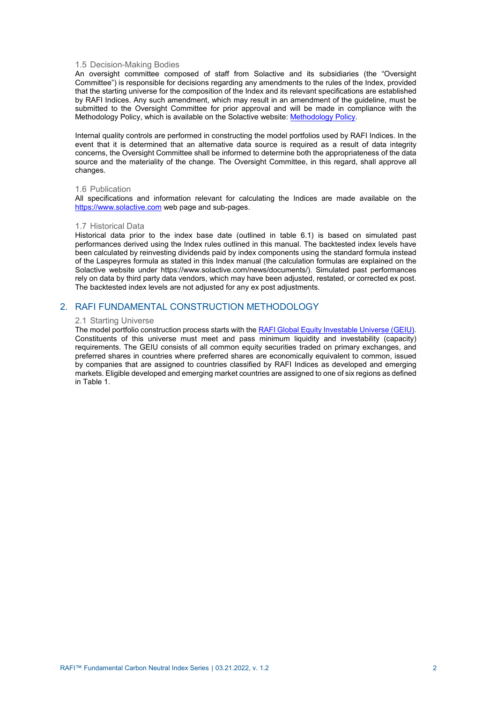#### <span id="page-3-0"></span>1.5 Decision-Making Bodies

An oversight committee composed of staff from Solactive and its subsidiaries (the "Oversight Committee") is responsible for decisions regarding any amendments to the rules of the Index, provided that the starting universe for the composition of the Index and its relevant specifications are established by RAFI Indices. Any such amendment, which may result in an amendment of the guideline, must be submitted to the Oversight Committee for prior approval and will be made in compliance with the Methodology Policy, which is available on the Solactive website[: Methodology Policy.](https://www.solactive.com/documents/methodology-policy/)

Internal quality controls are performed in constructing the model portfolios used by RAFI Indices. In the event that it is determined that an alternative data source is required as a result of data integrity concerns, the Oversight Committee shall be informed to determine both the appropriateness of the data source and the materiality of the change. The Oversight Committee, in this regard, shall approve all changes.

#### <span id="page-3-1"></span>1.6 Publication

All specifications and information relevant for calculating the Indices are made available on the [https://www.solactive.com](https://www.solactive.com/) web page and sub-pages.

#### <span id="page-3-2"></span>1.7 Historical Data

Historical data prior to the index base date (outlined in table 6.1) is based on simulated past performances derived using the Index rules outlined in this manual. The backtested index levels have been calculated by reinvesting dividends paid by index components using the standard formula instead of the Laspeyres formula as stated in this Index manual (the calculation formulas are explained on the Solactive website under https://www.solactive.com/news/documents/). Simulated past performances rely on data by third party data vendors, which may have been adjusted, restated, or corrected ex post. The backtested index levels are not adjusted for any ex post adjustments.

## <span id="page-3-4"></span><span id="page-3-3"></span>2. RAFI FUNDAMENTAL CONSTRUCTION METHODOLOGY

#### 2.1 Starting Universe

The model portfolio construction process starts with th[e RAFI Global Equity Investable Universe \(GEIU\).](https://www.rafi.com/content/dam/rafi/documents/index-notices/RAFI%20Indices%20Starting%20Universe.pdf)  Constituents of this universe must meet and pass minimum liquidity and investability (capacity) requirements. The GEIU consists of all common equity securities traded on primary exchanges, and preferred shares in countries where preferred shares are economically equivalent to common, issued by companies that are assigned to countries classified by RAFI Indices as developed and emerging markets. Eligible developed and emerging market countries are assigned to one of six regions as defined in Table 1.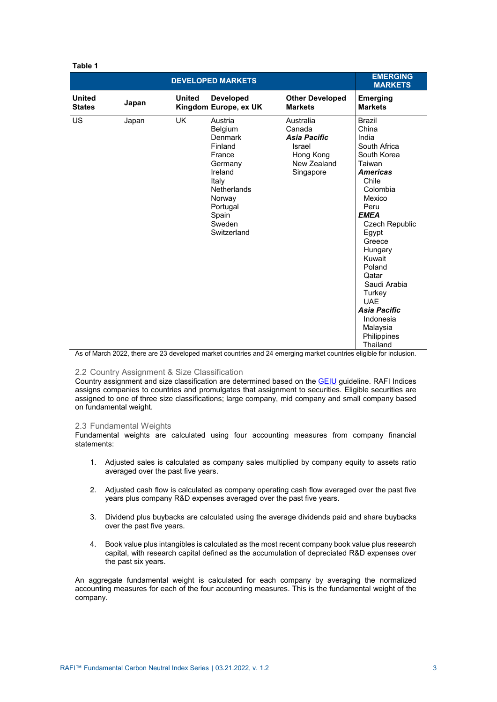| Table 1                        |       |               |                                                                                                                                                                 |                                                                                               |                                                                                                                                                                                                                                                                                                                                                          |
|--------------------------------|-------|---------------|-----------------------------------------------------------------------------------------------------------------------------------------------------------------|-----------------------------------------------------------------------------------------------|----------------------------------------------------------------------------------------------------------------------------------------------------------------------------------------------------------------------------------------------------------------------------------------------------------------------------------------------------------|
|                                |       |               | <b>DEVELOPED MARKETS</b>                                                                                                                                        |                                                                                               | <b>EMERGING</b><br><b>MARKETS</b>                                                                                                                                                                                                                                                                                                                        |
| <b>United</b><br><b>States</b> | Japan | <b>United</b> | <b>Developed</b><br>Kingdom Europe, ex UK                                                                                                                       | <b>Other Developed</b><br><b>Markets</b>                                                      | <b>Emerging</b><br><b>Markets</b>                                                                                                                                                                                                                                                                                                                        |
| US                             | Japan | <b>UK</b>     | Austria<br>Belgium<br>Denmark<br>Finland<br>France<br>Germany<br>Ireland<br>Italy<br><b>Netherlands</b><br>Norway<br>Portugal<br>Spain<br>Sweden<br>Switzerland | Australia<br>Canada<br><b>Asia Pacific</b><br>Israel<br>Hong Kong<br>New Zealand<br>Singapore | <b>Brazil</b><br>China<br>India<br>South Africa<br>South Korea<br>Taiwan<br><b>Americas</b><br>Chile<br>Colombia<br>Mexico<br>Peru<br><b>EMEA</b><br><b>Czech Republic</b><br>Egypt<br>Greece<br>Hungary<br>Kuwait<br>Poland<br>Qatar<br>Saudi Arabia<br>Turkey<br><b>UAF</b><br><b>Asia Pacific</b><br>Indonesia<br>Malaysia<br>Philippines<br>Thailand |

As of March 2022, there are 23 developed market countries and 24 emerging market countries eligible for inclusion.

## <span id="page-4-0"></span>2.2 Country Assignment & Size Classification

Country assignment and size classification are determined based on the [GEIU](https://www.rafi.com/content/dam/rafi/documents/index-notices/RAFI%20Indices%20Starting%20Universe.pdf) guideline. RAFI Indices assigns companies to countries and promulgates that assignment to securities. Eligible securities are assigned to one of three size classifications; large company, mid company and small company based on fundamental weight.

## <span id="page-4-1"></span>2.3 Fundamental Weights

Fundamental weights are calculated using four accounting measures from company financial statements:

- 1. Adjusted sales is calculated as company sales multiplied by company equity to assets ratio averaged over the past five years.
- 2. Adjusted cash flow is calculated as company operating cash flow averaged over the past five years plus company R&D expenses averaged over the past five years.
- 3. Dividend plus buybacks are calculated using the average dividends paid and share buybacks over the past five years.
- 4. Book value plus intangibles is calculated as the most recent company book value plus research capital, with research capital defined as the accumulation of depreciated R&D expenses over the past six years.

An aggregate fundamental weight is calculated for each company by averaging the normalized accounting measures for each of the four accounting measures. This is the fundamental weight of the company.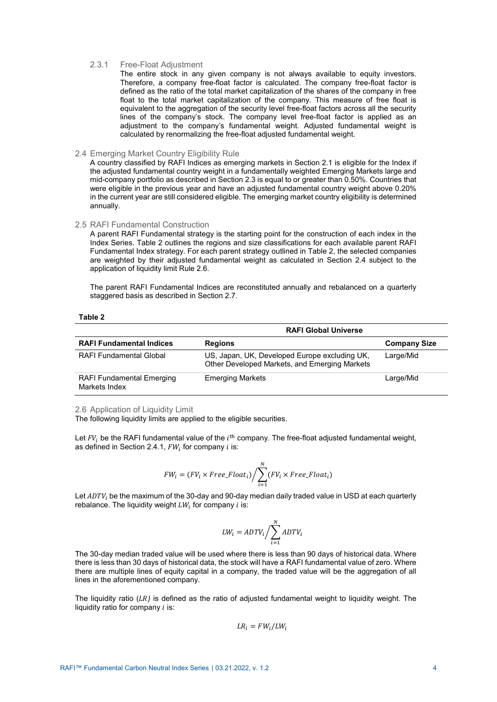#### 2.3.1 Free-Float Adjustment

The entire stock in any given company is not always available to equity investors. Therefore, a company free-float factor is calculated. The company free-float factor is defined as the ratio of the total market capitalization of the shares of the company in free float to the total market capitalization of the company. This measure of free float is equivalent to the aggregation of the security level free-float factors across all the security lines of the company's stock. The company level free-float factor is applied as an adjustment to the company's fundamental weight. Adjusted fundamental weight is calculated by renormalizing the free-float adjusted fundamental weight.

## <span id="page-5-0"></span>2.4 Emerging Market Country Eligibility Rule

A country classified by RAFI Indices as emerging markets in Section 2.1 is eligible for the Index if the adjusted fundamental country weight in a fundamentally weighted Emerging Markets large and mid-company portfolio as described in Section 2.3 is equal to or greater than 0.50%. Countries that were eligible in the previous year and have an adjusted fundamental country weight above 0.20% in the current year are still considered eligible. The emerging market country eligibility is determined annually.

## <span id="page-5-1"></span>2.5 RAFI Fundamental Construction

A parent RAFI Fundamental strategy is the starting point for the construction of each index in the Index Series. Table 2 outlines the regions and size classifications for each available parent RAFI Fundamental Index strategy. For each parent strategy outlined in Table 2, the selected companies are weighted by their adjusted fundamental weight as calculated in Section 2.4 subject to the application of liquidity limit Rule 2.6.

The parent RAFI Fundamental Indices are reconstituted annually and rebalanced on a quarterly staggered basis as described in Section 2.7.

#### **Table 2**

|                                                   | <b>RAFI Global Universe</b>                                                                    |                     |  |  |  |
|---------------------------------------------------|------------------------------------------------------------------------------------------------|---------------------|--|--|--|
| <b>RAFI Fundamental Indices</b>                   | <b>Regions</b>                                                                                 | <b>Company Size</b> |  |  |  |
| <b>RAFI Fundamental Global</b>                    | US, Japan, UK, Developed Europe excluding UK,<br>Other Developed Markets, and Emerging Markets | Large/Mid           |  |  |  |
| <b>RAFI Fundamental Emerging</b><br>Markets Index | <b>Emerging Markets</b>                                                                        | Large/Mid           |  |  |  |

<span id="page-5-2"></span>2.6 Application of Liquidity Limit

The following liquidity limits are applied to the eligible securities.

Let  $FV_i$  be the RAFI fundamental value of the  $i<sup>th</sup>$  company. The free-float adjusted fundamental weight, as defined in Section 2.4.1,  $FW<sub>i</sub>$  for company *i* is:

$$
FW_i = (FV_i \times Free\_Float_i) / \sum_{i=1}^{N} (FV_i \times Free\_Float_i)
$$

Let  $ADTV_i$  be the maximum of the 30-day and 90-day median daily traded value in USD at each quarterly rebalance. The liquidity weight  $LW_i$  for company  $i$  is:

$$
LW_i = ADTV_i / \sum_{i=1}^{N} ADTV_i
$$

The 30-day median traded value will be used where there is less than 90 days of historical data. Where there is less than 30 days of historical data, the stock will have a RAFI fundamental value of zero. Where there are multiple lines of equity capital in a company, the traded value will be the aggregation of all lines in the aforementioned company.

The liquidity ratio (*LR*) is defined as the ratio of adjusted fundamental weight to liquidity weight. The liquidity ratio for company  $i$  is:

$$
LR_i = FW_i / LW_i
$$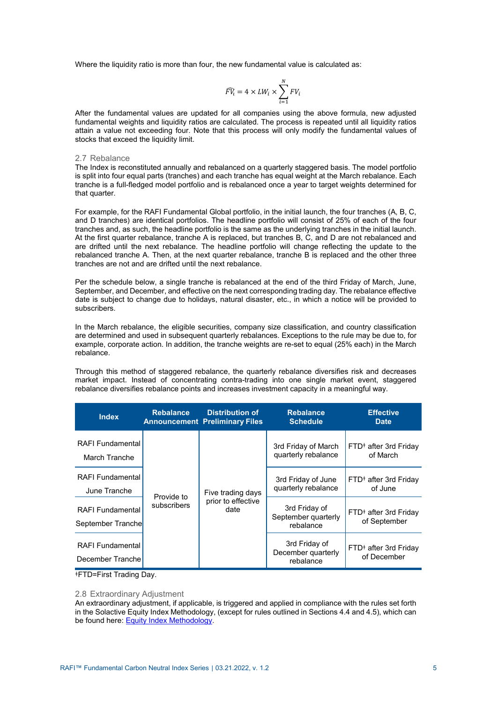Where the liquidity ratio is more than four, the new fundamental value is calculated as:

$$
\widehat{FV_i} = 4 \times LW_i \times \sum_{i=1}^{N} FV_i
$$

After the fundamental values are updated for all companies using the above formula, new adjusted fundamental weights and liquidity ratios are calculated. The process is repeated until all liquidity ratios attain a value not exceeding four. Note that this process will only modify the fundamental values of stocks that exceed the liquidity limit.

## <span id="page-6-0"></span>2.7 Rebalance

The Index is reconstituted annually and rebalanced on a quarterly staggered basis. The model portfolio is split into four equal parts (tranches) and each tranche has equal weight at the March rebalance. Each tranche is a full-fledged model portfolio and is rebalanced once a year to target weights determined for that quarter.

For example, for the RAFI Fundamental Global portfolio, in the initial launch, the four tranches (A, B, C, and D tranches) are identical portfolios. The headline portfolio will consist of 25% of each of the four tranches and, as such, the headline portfolio is the same as the underlying tranches in the initial launch. At the first quarter rebalance, tranche A is replaced, but tranches B, C, and D are not rebalanced and are drifted until the next rebalance. The headline portfolio will change reflecting the update to the rebalanced tranche A. Then, at the next quarter rebalance, tranche B is replaced and the other three tranches are not and are drifted until the next rebalance.

Per the schedule below, a single tranche is rebalanced at the end of the third Friday of March, June, September, and December, and effective on the next corresponding trading day. The rebalance effective date is subject to change due to holidays, natural disaster, etc., in which a notice will be provided to subscribers.

In the March rebalance, the eligible securities, company size classification, and country classification are determined and used in subsequent quarterly rebalances. Exceptions to the rule may be due to, for example, corporate action. In addition, the tranche weights are re-set to equal (25% each) in the March rebalance.

Through this method of staggered rebalance, the quarterly rebalance diversifies risk and decreases market impact. Instead of concentrating contra-trading into one single market event, staggered rebalance diversifies rebalance points and increases investment capacity in a meaningful way.

| <b>Index</b>                                 | <b>Rebalance</b>          | <b>Distribution of</b><br><b>Announcement Preliminary Files</b> | <b>Rebalance</b><br><b>Schedule</b>               | <b>Effective</b><br><b>Date</b>                   |  |
|----------------------------------------------|---------------------------|-----------------------------------------------------------------|---------------------------------------------------|---------------------------------------------------|--|
| <b>RAFI Fundamental</b><br>March Tranche     |                           | 3rd Friday of March<br>quarterly rebalance                      |                                                   | FTD <sup>+</sup> after 3rd Friday<br>of March     |  |
| <b>RAFI Fundamental</b><br>June Tranche      |                           | Five trading days                                               | 3rd Friday of June<br>quarterly rebalance         | FTD <sup>#</sup> after 3rd Friday<br>of June      |  |
| <b>RAFI Fundamental</b><br>September Tranche | Provide to<br>subscribers | prior to effective<br>date                                      | 3rd Friday of<br>September quarterly<br>rebalance | FTD <sup>#</sup> after 3rd Friday<br>of September |  |
| <b>RAFI Fundamental</b><br>December Tranche  |                           |                                                                 | 3rd Friday of<br>December quarterly<br>rebalance  | FTD <sup>#</sup> after 3rd Friday<br>of December  |  |

<sup>ǂ</sup>FTD=First Trading Day.

#### <span id="page-6-1"></span>2.8 Extraordinary Adjustment

An extraordinary adjustment, if applicable, is triggered and applied in compliance with the rules set forth in the Solactive Equity Index Methodology, (except for rules outlined in Sections 4.4 and 4.5), which can be found here[: Equity Index Methodology.](https://www.solactive.com/documents/equity-index-methodology/)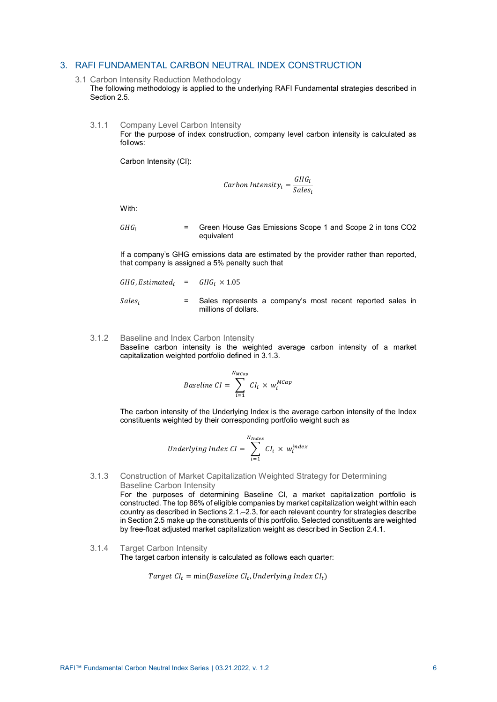## <span id="page-7-1"></span><span id="page-7-0"></span>3. RAFI FUNDAMENTAL CARBON NEUTRAL INDEX CONSTRUCTION

- 3.1 Carbon Intensity Reduction Methodology
	- The following methodology is applied to the underlying RAFI Fundamental strategies described in Section 2.5.
	- 3.1.1 Company Level Carbon Intensity

For the purpose of index construction, company level carbon intensity is calculated as follows:

Carbon Intensity (CI):

$$
Carbon Intensity_i = \frac{GHG_i}{Sales_i}
$$

With:

 $GHG_i$  = Green House Gas Emissions Scope 1 and Scope 2 in tons CO2 equivalent

If a company's GHG emissions data are estimated by the provider rather than reported, that company is assigned a 5% penalty such that

*GHG, Estimate*

\n
$$
GHG_t = GHG_t \times 1.05
$$
\n*Sales<sub>i</sub>*

\n
$$
Sales_t = Sales represents a company's most recent reported sales in millions of dollars.
$$

3.1.2 Baseline and Index Carbon Intensity Baseline carbon intensity is the weighted average carbon intensity of a market capitalization weighted portfolio defined in 3.1.3.

$$
Baseline\ CI = \sum_{i=1}^{N_{MCap}} CI_i \times w_i^{MCap}
$$

The carbon intensity of the Underlying Index is the average carbon intensity of the Index constituents weighted by their corresponding portfolio weight such as

$$
Underlying Index CI = \sum_{i=1}^{N_{Index}} CI_i \times w_i^{index}
$$

## 3.1.3 Construction of Market Capitalization Weighted Strategy for Determining Baseline Carbon Intensity

For the purposes of determining Baseline CI, a market capitalization portfolio is constructed. The top 86% of eligible companies by market capitalization weight within each country as described in Sections 2.1.–2.3, for each relevant country for strategies describe in Section 2.5 make up the constituents of this portfolio. Selected constituents are weighted by free-float adjusted market capitalization weight as described in Section 2.4.1.

3.1.4 Target Carbon Intensity

The target carbon intensity is calculated as follows each quarter:

Target  $CI_t = min(Baseline\ CI_t, Underlying\ Index\ CI_t)$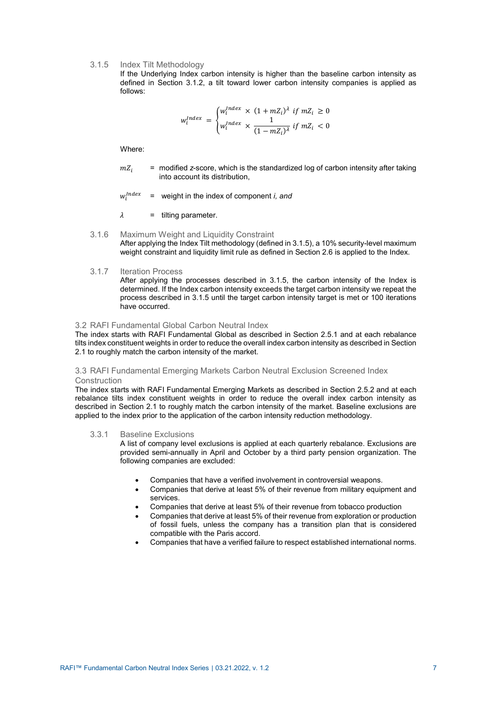3.1.5 Index Tilt Methodology

If the Underlying Index carbon intensity is higher than the baseline carbon intensity as defined in Section 3.1.2, a tilt toward lower carbon intensity companies is applied as follows:

$$
w_i^{Index} = \begin{cases} w_i^{Index} \times (1 + mZ_i)^{\lambda} & \text{if } mZ_i \ge 0\\ w_i^{Index} \times \frac{1}{(1 - mZ_i)^{\lambda}} & \text{if } mZ_i < 0 \end{cases}
$$

Where:

 $mZ_i$  = modified *z*-score, which is the standardized log of carbon intensity after taking into account its distribution,

 $W_i^{Index}$ = weight in the index of component *i, and* 

 $\lambda$  = tilting parameter.

3.1.6 Maximum Weight and Liquidity Constraint After applying the Index Tilt methodology (defined in 3.1.5), a 10% security-level maximum weight constraint and liquidity limit rule as defined in Section 2.6 is applied to the Index.

## 3.1.7 Iteration Process

After applying the processes described in 3.1.5, the carbon intensity of the Index is determined. If the Index carbon intensity exceeds the target carbon intensity we repeat the process described in 3.1.5 until the target carbon intensity target is met or 100 iterations have occurred.

## <span id="page-8-0"></span>3.2 RAFI Fundamental Global Carbon Neutral Index

The index starts with RAFI Fundamental Global as described in Section 2.5.1 and at each rebalance tilts index constituent weights in order to reduce the overall index carbon intensity as described in Section 2.1 to roughly match the carbon intensity of the market.

## <span id="page-8-1"></span>3.3 RAFI Fundamental Emerging Markets Carbon Neutral Exclusion Screened Index **Construction**

The index starts with RAFI Fundamental Emerging Markets as described in Section 2.5.2 and at each rebalance tilts index constituent weights in order to reduce the overall index carbon intensity as described in Section 2.1 to roughly match the carbon intensity of the market. Baseline exclusions are applied to the index prior to the application of the carbon intensity reduction methodology.

#### 3.3.1 Baseline Exclusions

A list of company level exclusions is applied at each quarterly rebalance. Exclusions are provided semi-annually in April and October by a third party pension organization. The following companies are excluded:

- Companies that have a verified involvement in controversial weapons.
- Companies that derive at least 5% of their revenue from military equipment and services.
- Companies that derive at least 5% of their revenue from tobacco production
- Companies that derive at least 5% of their revenue from exploration or production of fossil fuels, unless the company has a transition plan that is considered compatible with the Paris accord.
- Companies that have a verified failure to respect established international norms.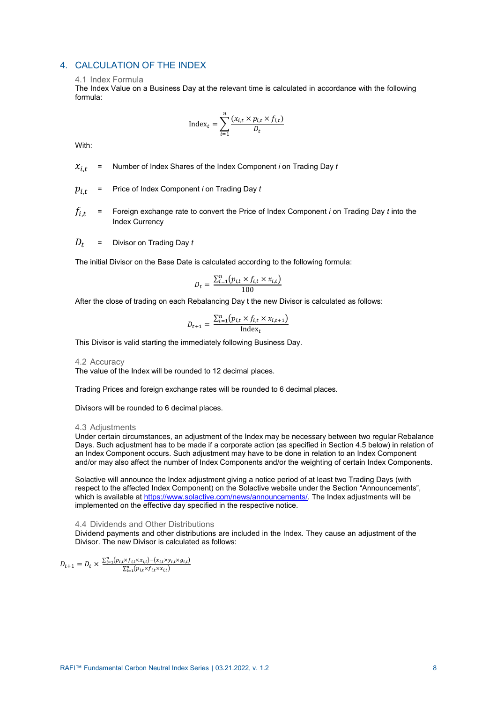## <span id="page-9-1"></span><span id="page-9-0"></span>4. CALCULATION OF THE INDEX

## 4.1 Index Formula

The Index Value on a Business Day at the relevant time is calculated in accordance with the following formula:

$$
Index_t = \sum_{i=1}^{n} \frac{(x_{i,t} \times p_{i,t} \times f_{i,t})}{D_t}
$$

With:

- $x_{i,t}$  = Number of Index Shares of the Index Component *i* on Trading Day *t*
- $p_{i,t}$  = Price of Index Component *i* on Trading Day  $t$
- $f_{i,t}$  = Foreign exchange rate to convert the Price of Index Component *i* on Trading Day *t* into the Index Currency
- $D_t$  = Divisor on Trading Day  $t$

The initial Divisor on the Base Date is calculated according to the following formula:

$$
D_t = \frac{\sum_{i=1}^{n} (p_{i,t} \times f_{i,t} \times x_{i,t})}{100}
$$

After the close of trading on each Rebalancing Day t the new Divisor is calculated as follows:

$$
D_{t+1} = \frac{\sum_{i=1}^{n} (p_{i,t} \times f_{i,t} \times x_{i,t+1})}{\text{Index}_t}
$$

This Divisor is valid starting the immediately following Business Day.

#### <span id="page-9-2"></span>4.2 Accuracy

The value of the Index will be rounded to 12 decimal places.

Trading Prices and foreign exchange rates will be rounded to 6 decimal places.

Divisors will be rounded to 6 decimal places.

#### <span id="page-9-3"></span>4.3 Adjustments

Under certain circumstances, an adjustment of the Index may be necessary between two regular Rebalance Days. Such adjustment has to be made if a corporate action (as specified in Section 4.5 below) in relation of an Index Component occurs. Such adjustment may have to be done in relation to an Index Component and/or may also affect the number of Index Components and/or the weighting of certain Index Components.

Solactive will announce the Index adjustment giving a notice period of at least two Trading Days (with respect to the affected Index Component) on the Solactive website under the Section "Announcements", which is available a[t https://www.solactive.com/news/announcements/.](https://www.solactive.com/news/announcements/) The Index adjustments will be implemented on the effective day specified in the respective notice.

## <span id="page-9-4"></span>4.4 Dividends and Other Distributions

Dividend payments and other distributions are included in the Index. They cause an adjustment of the Divisor. The new Divisor is calculated as follows:

$$
D_{t+1} = D_t \times \frac{\sum_{i=1}^{n} (p_{i,t} \times f_{i,t} \times x_{i,t}) - (x_{i,t} \times y_{i,t} \times g_{i,t})}{\sum_{i=1}^{n} (p_{i,t} \times f_{i,t} \times x_{i,t})}
$$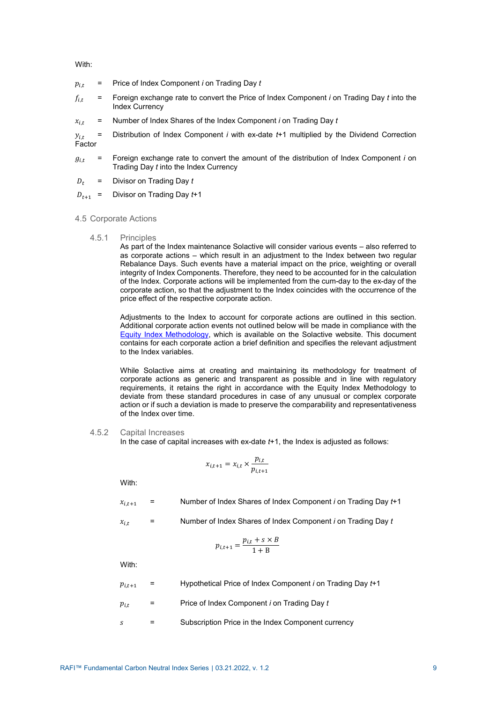With:

- $p_{i,t}$  = Price of Index Component *i* on Trading Day  $t$
- $f_{i,t}$  = Foreign exchange rate to convert the Price of Index Component *i* on Trading Day *t* into the Index Currency
- $x_{i,t}$  = Number of Index Shares of the Index Component *i* on Trading Day *t*

 $y_{i,t}$  = Distribution of Index Component *i* with ex-date  $t+1$  multiplied by the Dividend Correction Factor

- $g_{i,t}$  = Foreign exchange rate to convert the amount of the distribution of Index Component *i* on Trading Day *t* into the Index Currency
- $D_t$  = Divisor on Trading Day  $t$
- $D_{t+1}$  = Divisor on Trading Day  $t+1$
- <span id="page-10-0"></span>4.5 Corporate Actions
	- 4.5.1 Principles

As part of the Index maintenance Solactive will consider various events – also referred to as corporate actions – which result in an adjustment to the Index between two regular Rebalance Days. Such events have a material impact on the price, weighting or overall integrity of Index Components. Therefore, they need to be accounted for in the calculation of the Index. Corporate actions will be implemented from the cum-day to the ex-day of the corporate action, so that the adjustment to the Index coincides with the occurrence of the price effect of the respective corporate action.

Adjustments to the Index to account for corporate actions are outlined in this section. Additional corporate action events not outlined below will be made in compliance with the [Equity Index Methodology,](https://www.solactive.com/documents/equity-index-methodology/) which is available on the Solactive website. This document contains for each corporate action a brief definition and specifies the relevant adjustment to the Index variables.

While Solactive aims at creating and maintaining its methodology for treatment of corporate actions as generic and transparent as possible and in line with regulatory requirements, it retains the right in accordance with the Equity Index Methodology to deviate from these standard procedures in case of any unusual or complex corporate action or if such a deviation is made to preserve the comparability and representativeness of the Index over time.

## 4.5.2 Capital Increases

In the case of capital increases with ex-date *t*+1, the Index is adjusted as follows:

$$
i_{,t+1} = x_{i,t} \times \frac{p_{i,t}}{p_{i,t+1}}
$$

With:

 $x_{i,t+1}$  = Number of Index Shares of Index Component *i* on Trading Day  $t+1$ 

$$
x_{i,t} =
$$
 Number of Index Shares of Index Component *i* on Trading Day *t*

$$
p_{i,t+1} = \frac{p_{i,t} + s \times B}{1 + B}
$$

With:

- $p_{i,t+1}$  = Hypothetical Price of Index Component *i* on Trading Day  $t+1$
- , = Price of Index Component *i* on Trading Day *t*
- $s =$  Subscription Price in the Index Component currency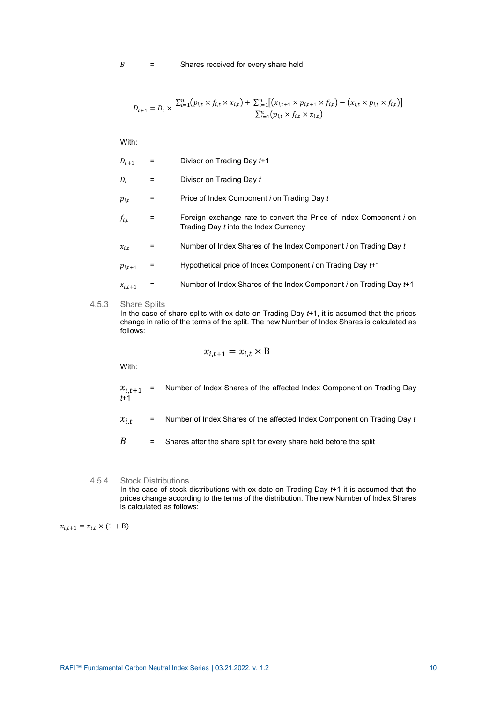$$
D_{t+1} = D_t \times \frac{\sum_{i=1}^{n} (p_{i,t} \times f_{i,t} \times x_{i,t}) + \sum_{i=1}^{n} [(x_{i,t+1} \times p_{i,t+1} \times f_{i,t}) - (x_{i,t} \times p_{i,t} \times f_{i,t})]}{\sum_{i=1}^{n} (p_{i,t} \times f_{i,t} \times x_{i,t})}
$$

With:

| $D_{t+1}$   |   | Divisor on Trading Day t+1                                                                                  |
|-------------|---|-------------------------------------------------------------------------------------------------------------|
| $D_t$       | Ξ | Divisor on Trading Day t                                                                                    |
| $p_{i,t}$   | = | Price of Index Component <i>i</i> on Trading Day t                                                          |
| $f_{i,t}$   | = | Foreign exchange rate to convert the Price of Index Component i on<br>Trading Day t into the Index Currency |
| $x_{i,t}$   | = | Number of Index Shares of the Index Component i on Trading Day t                                            |
| $p_{i,t+1}$ | = | Hypothetical price of Index Component <i>i</i> on Trading Day t+1                                           |
| $x_{i,t+1}$ | = | Number of Index Shares of the Index Component i on Trading Day t+1                                          |
|             |   |                                                                                                             |

4.5.3 Share Splits

In the case of share splits with ex-date on Trading Day *t*+1, it is assumed that the prices change in ratio of the terms of the split. The new Number of Index Shares is calculated as follows:

$$
x_{i,t+1} = x_{i,t} \times B
$$

With:

- $x_{i,t+1}$  = Number of Index Shares of the affected Index Component on Trading Day *t*+1
- $x_{i,t}$  = Number of Index Shares of the affected Index Component on Trading Day  $t$
- $B =$  Shares after the share split for every share held before the split
- 4.5.4 Stock Distributions In the case of stock distributions with ex-date on Trading Day *t*+1 it is assumed that the prices change according to the terms of the distribution. The new Number of Index Shares is calculated as follows:

 $x_{i,t+1} = x_{i,t} \times (1 + B)$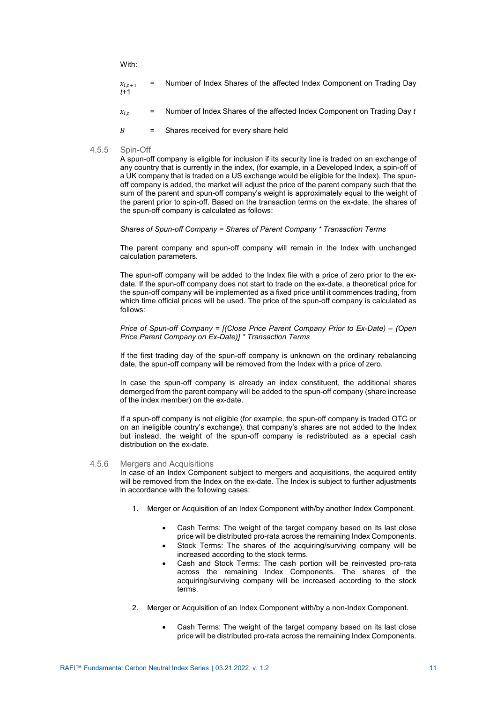With:

| $x_{i,t+1}$<br>$f+1$ | $=$ $-$ |  |  |   |  | Number of Index Shares of the affected Index Component on Trading Day |  |  |  |
|----------------------|---------|--|--|---|--|-----------------------------------------------------------------------|--|--|--|
|                      |         |  |  | . |  |                                                                       |  |  |  |

- $x_{i,t}$  = Number of Index Shares of the affected Index Component on Trading Day  $t$
- $B =$  Shares received for every share held
- 4.5.5 Spin-Off

A spun-off company is eligible for inclusion if its security line is traded on an exchange of any country that is currently in the index, (for example, in a Developed Index, a spin-off of a UK company that is traded on a US exchange would be eligible for the Index). The spunoff company is added, the market will adjust the price of the parent company such that the sum of the parent and spun-off company's weight is approximately equal to the weight of the parent prior to spin-off. Based on the transaction terms on the ex-date, the shares of the spun-off company is calculated as follows:

## *Shares of Spun-off Company = Shares of Parent Company \* Transaction Terms*

The parent company and spun-off company will remain in the Index with unchanged calculation parameters.

The spun-off company will be added to the Index file with a price of zero prior to the exdate. If the spun-off company does not start to trade on the ex-date, a theoretical price for the spun-off company will be implemented as a fixed price until it commences trading, from which time official prices will be used. The price of the spun-off company is calculated as follows:

## *Price of Spun-off Company = [(Close Price Parent Company Prior to Ex-Date) – (Open Price Parent Company on Ex-Date)] \* Transaction Terms*

If the first trading day of the spun-off company is unknown on the ordinary rebalancing date, the spun-off company will be removed from the Index with a price of zero.

In case the spun-off company is already an index constituent, the additional shares demerged from the parent company will be added to the spun-off company (share increase of the index member) on the ex-date.

If a spun-off company is not eligible (for example, the spun-off company is traded OTC or on an ineligible country's exchange), that company's shares are not added to the Index but instead, the weight of the spun-off company is redistributed as a special cash distribution on the ex-date.

## 4.5.6 Mergers and Acquisitions

In case of an Index Component subject to mergers and acquisitions, the acquired entity will be removed from the Index on the ex-date. The Index is subject to further adjustments in accordance with the following cases:

- 1. Merger or Acquisition of an Index Component with/by another Index Component.
	- Cash Terms: The weight of the target company based on its last close price will be distributed pro-rata across the remaining Index Components.
	- Stock Terms: The shares of the acquiring/surviving company will be increased according to the stock terms.
	- Cash and Stock Terms: The cash portion will be reinvested pro-rata across the remaining Index Components. The shares of the acquiring/surviving company will be increased according to the stock terms.
- 2. Merger or Acquisition of an Index Component with/by a non-Index Component.
	- Cash Terms: The weight of the target company based on its last close price will be distributed pro-rata across the remaining Index Components.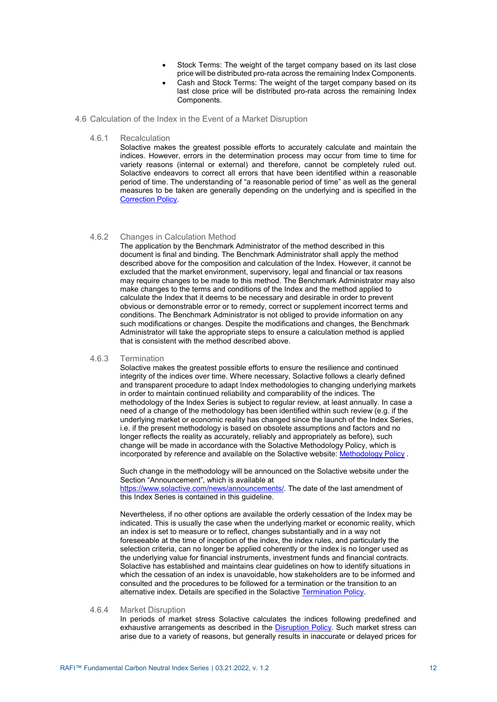- Stock Terms: The weight of the target company based on its last close price will be distributed pro-rata across the remaining Index Components.
- Cash and Stock Terms: The weight of the target company based on its last close price will be distributed pro-rata across the remaining Index Components.
- <span id="page-13-0"></span>4.6 Calculation of the Index in the Event of a Market Disruption
	- 4.6.1 Recalculation

Solactive makes the greatest possible efforts to accurately calculate and maintain the indices. However, errors in the determination process may occur from time to time for variety reasons (internal or external) and therefore, cannot be completely ruled out. Solactive endeavors to correct all errors that have been identified within a reasonable period of time. The understanding of "a reasonable period of time" as well as the general measures to be taken are generally depending on the underlying and is specified in the [Correction Policy.](https://www.solactive.com/documents/correction-policy/)

## 4.6.2 Changes in Calculation Method

The application by the Benchmark Administrator of the method described in this document is final and binding. The Benchmark Administrator shall apply the method described above for the composition and calculation of the Index. However, it cannot be excluded that the market environment, supervisory, legal and financial or tax reasons may require changes to be made to this method. The Benchmark Administrator may also make changes to the terms and conditions of the Index and the method applied to calculate the Index that it deems to be necessary and desirable in order to prevent obvious or demonstrable error or to remedy, correct or supplement incorrect terms and conditions. The Benchmark Administrator is not obliged to provide information on any such modifications or changes. Despite the modifications and changes, the Benchmark Administrator will take the appropriate steps to ensure a calculation method is applied that is consistent with the method described above.

### 4.6.3 Termination

Solactive makes the greatest possible efforts to ensure the resilience and continued integrity of the indices over time. Where necessary, Solactive follows a clearly defined and transparent procedure to adapt Index methodologies to changing underlying markets in order to maintain continued reliability and comparability of the indices. The methodology of the Index Series is subject to regular review, at least annually. In case a need of a change of the methodology has been identified within such review (e.g. if the underlying market or economic reality has changed since the launch of the Index Series, i.e. if the present methodology is based on obsolete assumptions and factors and no longer reflects the reality as accurately, reliably and appropriately as before), such change will be made in accordance with the Solactive Methodology Policy, which is incorporated by reference and available on the Solactive website[: Methodology Policy](https://www.solactive.com/documents/methodology-policy/) .

Such change in the methodology will be announced on the Solactive website under the Section "Announcement", which is available at

[https://www.solactive.com/news/announcements/.](https://www.solactive.com/news/announcements/) The date of the last amendment of this Index Series is contained in this guideline.

Nevertheless, if no other options are available the orderly cessation of the Index may be indicated. This is usually the case when the underlying market or economic reality, which an index is set to measure or to reflect, changes substantially and in a way not foreseeable at the time of inception of the index, the index rules, and particularly the selection criteria, can no longer be applied coherently or the index is no longer used as the underlying value for financial instruments, investment funds and financial contracts. Solactive has established and maintains clear guidelines on how to identify situations in which the cessation of an index is unavoidable, how stakeholders are to be informed and consulted and the procedures to be followed for a termination or the transition to an alternative index. Details are specified in the Solactiv[e Termination Policy.](https://www.solactive.com/documents/termination-policy/)

## 4.6.4 Market Disruption

In periods of market stress Solactive calculates the indices following predefined and exhaustive arrangements as described in the [Disruption Policy.](https://www.solactive.com/documents/disruption-policy/) Such market stress can arise due to a variety of reasons, but generally results in inaccurate or delayed prices for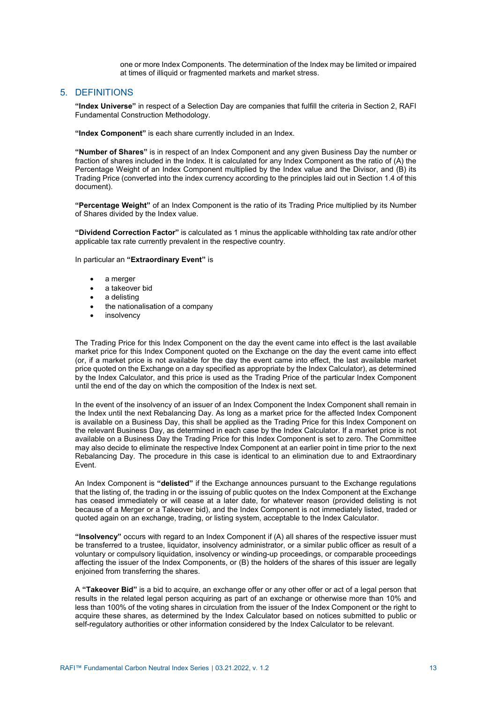one or more Index Components. The determination of the Index may be limited or impaired at times of illiquid or fragmented markets and market stress.

## <span id="page-14-0"></span>5. DEFINITIONS

**"Index Universe"** in respect of a Selection Day are companies that fulfill the criteria in Section 2, RAFI Fundamental Construction Methodology.

**"Index Component"** is each share currently included in an Index.

**"Number of Shares"** is in respect of an Index Component and any given Business Day the number or fraction of shares included in the Index. It is calculated for any Index Component as the ratio of (A) the Percentage Weight of an Index Component multiplied by the Index value and the Divisor, and  $(B)$  its Trading Price (converted into the index currency according to the principles laid out in Section 1.4 of this document).

**"Percentage Weight"** of an Index Component is the ratio of its Trading Price multiplied by its Number of Shares divided by the Index value.

**"Dividend Correction Factor"** is calculated as 1 minus the applicable withholding tax rate and/or other applicable tax rate currently prevalent in the respective country.

In particular an **"Extraordinary Event"** is

- a merger
- a takeover bid
- a delisting
- the nationalisation of a company
- insolvency

The Trading Price for this Index Component on the day the event came into effect is the last available market price for this Index Component quoted on the Exchange on the day the event came into effect (or, if a market price is not available for the day the event came into effect, the last available market price quoted on the Exchange on a day specified as appropriate by the Index Calculator), as determined by the Index Calculator, and this price is used as the Trading Price of the particular Index Component until the end of the day on which the composition of the Index is next set.

In the event of the insolvency of an issuer of an Index Component the Index Component shall remain in the Index until the next Rebalancing Day. As long as a market price for the affected Index Component is available on a Business Day, this shall be applied as the Trading Price for this Index Component on the relevant Business Day, as determined in each case by the Index Calculator. If a market price is not available on a Business Day the Trading Price for this Index Component is set to zero. The Committee may also decide to eliminate the respective Index Component at an earlier point in time prior to the next Rebalancing Day. The procedure in this case is identical to an elimination due to and Extraordinary Event.

An Index Component is **"delisted"** if the Exchange announces pursuant to the Exchange regulations that the listing of, the trading in or the issuing of public quotes on the Index Component at the Exchange has ceased immediately or will cease at a later date, for whatever reason (provided delisting is not because of a Merger or a Takeover bid), and the Index Component is not immediately listed, traded or quoted again on an exchange, trading, or listing system, acceptable to the Index Calculator.

**"Insolvency"** occurs with regard to an Index Component if (A) all shares of the respective issuer must be transferred to a trustee, liquidator, insolvency administrator, or a similar public officer as result of a voluntary or compulsory liquidation, insolvency or winding-up proceedings, or comparable proceedings affecting the issuer of the Index Components, or (B) the holders of the shares of this issuer are legally enjoined from transferring the shares.

A **"Takeover Bid"** is a bid to acquire, an exchange offer or any other offer or act of a legal person that results in the related legal person acquiring as part of an exchange or otherwise more than 10% and less than 100% of the voting shares in circulation from the issuer of the Index Component or the right to acquire these shares, as determined by the Index Calculator based on notices submitted to public or self-regulatory authorities or other information considered by the Index Calculator to be relevant.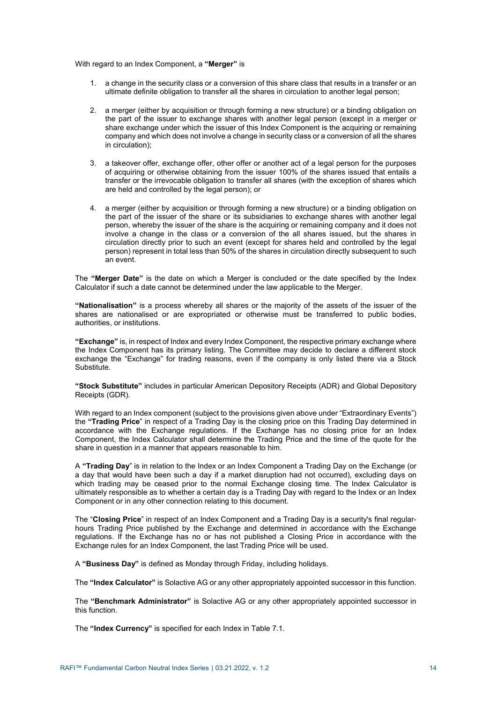With regard to an Index Component, a **"Merger"** is

- 1. a change in the security class or a conversion of this share class that results in a transfer or an ultimate definite obligation to transfer all the shares in circulation to another legal person;
- 2. a merger (either by acquisition or through forming a new structure) or a binding obligation on the part of the issuer to exchange shares with another legal person (except in a merger or share exchange under which the issuer of this Index Component is the acquiring or remaining company and which does not involve a change in security class or a conversion of all the shares in circulation);
- 3. a takeover offer, exchange offer, other offer or another act of a legal person for the purposes of acquiring or otherwise obtaining from the issuer 100% of the shares issued that entails a transfer or the irrevocable obligation to transfer all shares (with the exception of shares which are held and controlled by the legal person); or
- 4. a merger (either by acquisition or through forming a new structure) or a binding obligation on the part of the issuer of the share or its subsidiaries to exchange shares with another legal person, whereby the issuer of the share is the acquiring or remaining company and it does not involve a change in the class or a conversion of the all shares issued, but the shares in circulation directly prior to such an event (except for shares held and controlled by the legal person) represent in total less than 50% of the shares in circulation directly subsequent to such an event.

The **"Merger Date"** is the date on which a Merger is concluded or the date specified by the Index Calculator if such a date cannot be determined under the law applicable to the Merger.

**"Nationalisation"** is a process whereby all shares or the majority of the assets of the issuer of the shares are nationalised or are expropriated or otherwise must be transferred to public bodies, authorities, or institutions.

**"Exchange"** is, in respect of Index and every Index Component, the respective primary exchange where the Index Component has its primary listing. The Committee may decide to declare a different stock exchange the "Exchange" for trading reasons, even if the company is only listed there via a Stock Substitute.

**"Stock Substitute"** includes in particular American Depository Receipts (ADR) and Global Depository Receipts (GDR).

With regard to an Index component (subject to the provisions given above under "Extraordinary Events") the **"Trading Price**" in respect of a Trading Day is the closing price on this Trading Day determined in accordance with the Exchange regulations. If the Exchange has no closing price for an Index Component, the Index Calculator shall determine the Trading Price and the time of the quote for the share in question in a manner that appears reasonable to him.

A **"Trading Day**" is in relation to the Index or an Index Component a Trading Day on the Exchange (or a day that would have been such a day if a market disruption had not occurred), excluding days on which trading may be ceased prior to the normal Exchange closing time. The Index Calculator is ultimately responsible as to whether a certain day is a Trading Day with regard to the Index or an Index Component or in any other connection relating to this document.

The "**Closing Price**" in respect of an Index Component and a Trading Day is a security's final regularhours Trading Price published by the Exchange and determined in accordance with the Exchange regulations. If the Exchange has no or has not published a Closing Price in accordance with the Exchange rules for an Index Component, the last Trading Price will be used.

A **"Business Day"** is defined as Monday through Friday, including holidays.

The **"Index Calculator"** is Solactive AG or any other appropriately appointed successor in this function.

The **"Benchmark Administrator"** is Solactive AG or any other appropriately appointed successor in this function.

The **"Index Currency"** is specified for each Index in Table 7.1.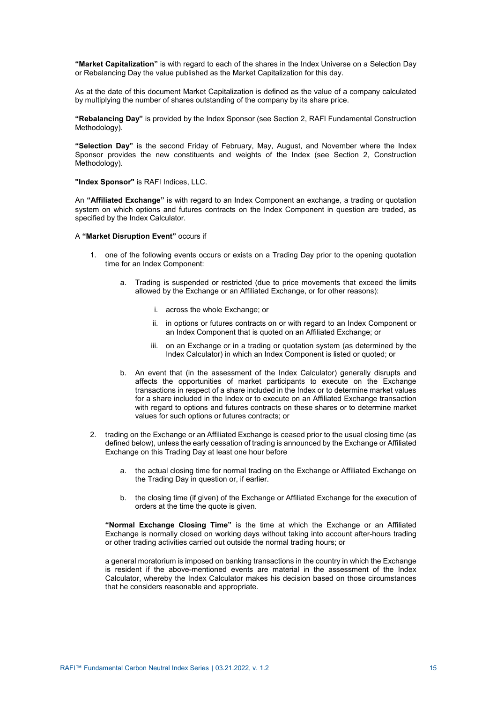**"Market Capitalization"** is with regard to each of the shares in the Index Universe on a Selection Day or Rebalancing Day the value published as the Market Capitalization for this day.

As at the date of this document Market Capitalization is defined as the value of a company calculated by multiplying the number of shares outstanding of the company by its share price.

**"Rebalancing Day"** is provided by the Index Sponsor (see Section 2, RAFI Fundamental Construction Methodology).

**"Selection Day"** is the second Friday of February, May, August, and November where the Index Sponsor provides the new constituents and weights of the Index (see Section 2, Construction Methodology).

**"Index Sponsor"** is RAFI Indices, LLC.

An **"Affiliated Exchange"** is with regard to an Index Component an exchange, a trading or quotation system on which options and futures contracts on the Index Component in question are traded, as specified by the Index Calculator.

A **"Market Disruption Event"** occurs if

- 1. one of the following events occurs or exists on a Trading Day prior to the opening quotation time for an Index Component:
	- a. Trading is suspended or restricted (due to price movements that exceed the limits allowed by the Exchange or an Affiliated Exchange, or for other reasons):
		- i. across the whole Exchange; or
		- ii. in options or futures contracts on or with regard to an Index Component or an Index Component that is quoted on an Affiliated Exchange; or
		- iii. on an Exchange or in a trading or quotation system (as determined by the Index Calculator) in which an Index Component is listed or quoted; or
	- b. An event that (in the assessment of the Index Calculator) generally disrupts and affects the opportunities of market participants to execute on the Exchange transactions in respect of a share included in the Index or to determine market values for a share included in the Index or to execute on an Affiliated Exchange transaction with regard to options and futures contracts on these shares or to determine market values for such options or futures contracts; or
- 2. trading on the Exchange or an Affiliated Exchange is ceased prior to the usual closing time (as defined below), unless the early cessation of trading is announced by the Exchange or Affiliated Exchange on this Trading Day at least one hour before
	- a. the actual closing time for normal trading on the Exchange or Affiliated Exchange on the Trading Day in question or, if earlier.
	- b. the closing time (if given) of the Exchange or Affiliated Exchange for the execution of orders at the time the quote is given.

**"Normal Exchange Closing Time"** is the time at which the Exchange or an Affiliated Exchange is normally closed on working days without taking into account after-hours trading or other trading activities carried out outside the normal trading hours; or

a general moratorium is imposed on banking transactions in the country in which the Exchange is resident if the above-mentioned events are material in the assessment of the Index Calculator, whereby the Index Calculator makes his decision based on those circumstances that he considers reasonable and appropriate.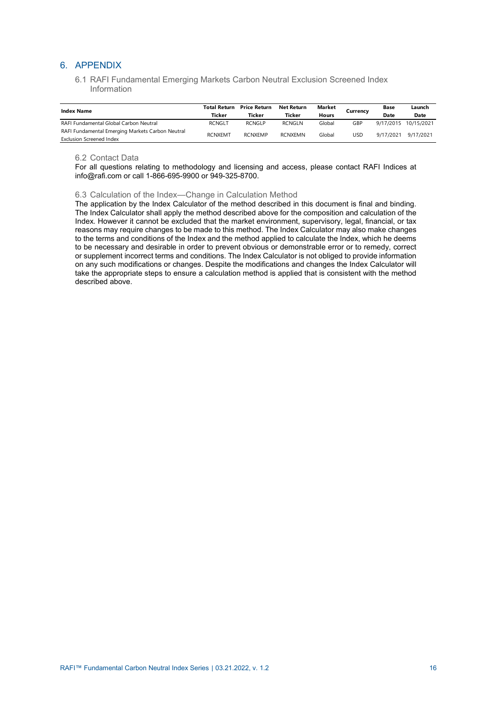## <span id="page-17-1"></span><span id="page-17-0"></span>6. APPENDIX

6.1 RAFI Fundamental Emerging Markets Carbon Neutral Exclusion Screened Index Information

| <b>Index Name</b>                                                                   | Total Return<br>Ticker | <b>Price Return</b><br>Ticker | Net Return<br>Ticker | Market<br>Hours | Currency | Base<br>Date | Launch<br>Date |
|-------------------------------------------------------------------------------------|------------------------|-------------------------------|----------------------|-----------------|----------|--------------|----------------|
| RAFI Fundamental Global Carbon Neutral                                              | <b>RCNGLT</b>          | <b>RCNGLP</b>                 | <b>RCNGLN</b>        | Global          | GBP      | 9/17/2015    | 10/15/2021     |
| RAFI Fundamental Emerging Markets Carbon Neutral<br><b>Exclusion Screened Index</b> | <b>RCNXEMT</b>         | <b>RCNXFMP</b>                | <b>RCNXEMN</b>       | Global          | USD      | 9/17/2021    | 9/17/2021      |

## <span id="page-17-2"></span>6.2 Contact Data

For all questions relating to methodology and licensing and access, please contact RAFI Indices at info@rafi.com or call 1-866-695-9900 or 949-325-8700.

## <span id="page-17-3"></span>6.3 Calculation of the Index—Change in Calculation Method

The application by the Index Calculator of the method described in this document is final and binding. The Index Calculator shall apply the method described above for the composition and calculation of the Index. However it cannot be excluded that the market environment, supervisory, legal, financial, or tax reasons may require changes to be made to this method. The Index Calculator may also make changes to the terms and conditions of the Index and the method applied to calculate the Index, which he deems to be necessary and desirable in order to prevent obvious or demonstrable error or to remedy, correct or supplement incorrect terms and conditions. The Index Calculator is not obliged to provide information on any such modifications or changes. Despite the modifications and changes the Index Calculator will take the appropriate steps to ensure a calculation method is applied that is consistent with the method described above.